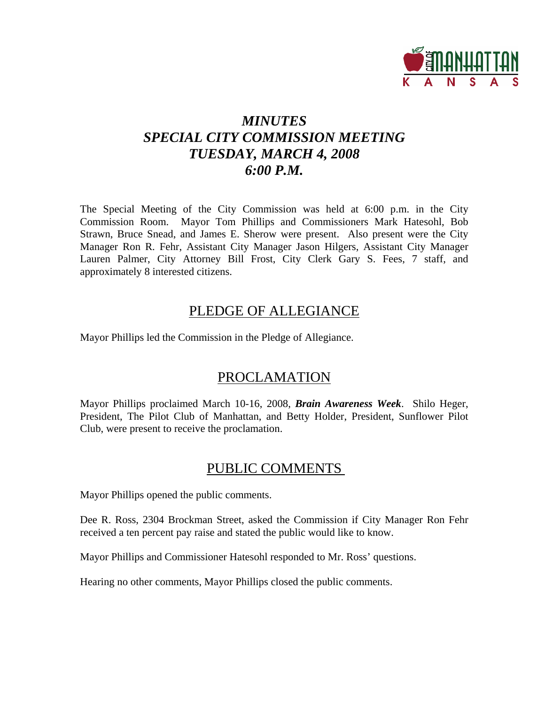

# *MINUTES SPECIAL CITY COMMISSION MEETING TUESDAY, MARCH 4, 2008 6:00 P.M.*

The Special Meeting of the City Commission was held at 6:00 p.m. in the City Commission Room. Mayor Tom Phillips and Commissioners Mark Hatesohl, Bob Strawn, Bruce Snead, and James E. Sherow were present. Also present were the City Manager Ron R. Fehr, Assistant City Manager Jason Hilgers, Assistant City Manager Lauren Palmer, City Attorney Bill Frost, City Clerk Gary S. Fees, 7 staff, and approximately 8 interested citizens.

## PLEDGE OF ALLEGIANCE

Mayor Phillips led the Commission in the Pledge of Allegiance.

# PROCLAMATION

Mayor Phillips proclaimed March 10-16, 2008, *Brain Awareness Week*. Shilo Heger, President, The Pilot Club of Manhattan, and Betty Holder, President, Sunflower Pilot Club, were present to receive the proclamation.

## PUBLIC COMMENTS

Mayor Phillips opened the public comments.

Dee R. Ross, 2304 Brockman Street, asked the Commission if City Manager Ron Fehr received a ten percent pay raise and stated the public would like to know.

Mayor Phillips and Commissioner Hatesohl responded to Mr. Ross' questions.

Hearing no other comments, Mayor Phillips closed the public comments.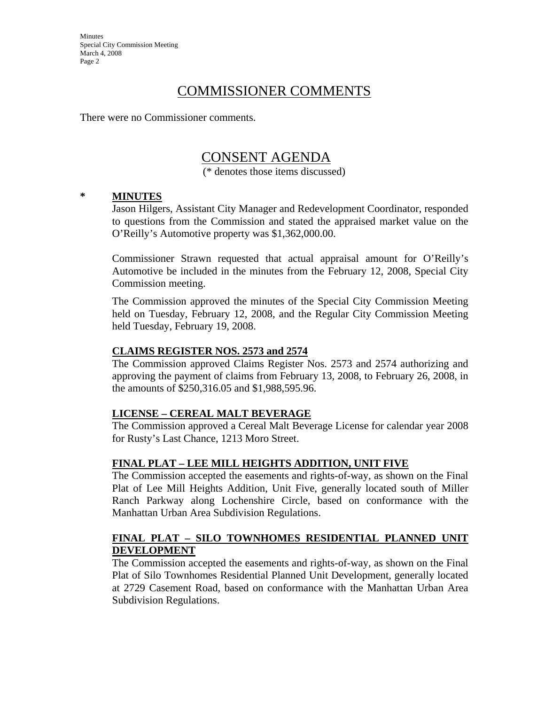**Minutes** Special City Commission Meeting March 4, 2008 Page 2

## COMMISSIONER COMMENTS

There were no Commissioner comments.

## CONSENT AGENDA

(\* denotes those items discussed)

### **\* MINUTES**

Jason Hilgers, Assistant City Manager and Redevelopment Coordinator, responded to questions from the Commission and stated the appraised market value on the O'Reilly's Automotive property was \$1,362,000.00.

Commissioner Strawn requested that actual appraisal amount for O'Reilly's Automotive be included in the minutes from the February 12, 2008, Special City Commission meeting.

The Commission approved the minutes of the Special City Commission Meeting held on Tuesday, February 12, 2008, and the Regular City Commission Meeting held Tuesday, February 19, 2008.

### **CLAIMS REGISTER NOS. 2573 and 2574**

The Commission approved Claims Register Nos. 2573 and 2574 authorizing and approving the payment of claims from February 13, 2008, to February 26, 2008, in the amounts of \$250,316.05 and \$1,988,595.96.

### **LICENSE – CEREAL MALT BEVERAGE**

The Commission approved a Cereal Malt Beverage License for calendar year 2008 for Rusty's Last Chance, 1213 Moro Street.

### **FINAL PLAT – LEE MILL HEIGHTS ADDITION, UNIT FIVE**

The Commission accepted the easements and rights-of-way, as shown on the Final Plat of Lee Mill Heights Addition, Unit Five, generally located south of Miller Ranch Parkway along Lochenshire Circle, based on conformance with the Manhattan Urban Area Subdivision Regulations.

### **FINAL PLAT – SILO TOWNHOMES RESIDENTIAL PLANNED UNIT DEVELOPMENT**

The Commission accepted the easements and rights-of-way, as shown on the Final Plat of Silo Townhomes Residential Planned Unit Development, generally located at 2729 Casement Road, based on conformance with the Manhattan Urban Area Subdivision Regulations.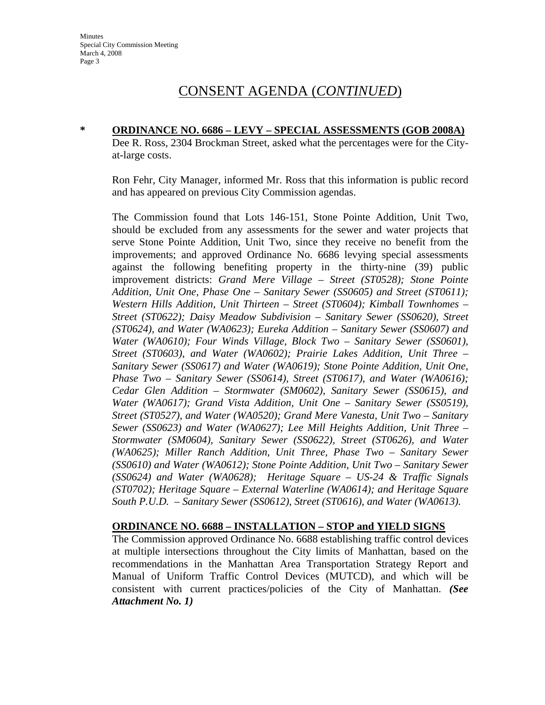# CONSENT AGENDA (*CONTINUED*)

**\* ORDINANCE NO. 6686 – LEVY – SPECIAL ASSESSMENTS (GOB 2008A)** Dee R. Ross, 2304 Brockman Street, asked what the percentages were for the Cityat-large costs.

Ron Fehr, City Manager, informed Mr. Ross that this information is public record and has appeared on previous City Commission agendas.

The Commission found that Lots 146-151, Stone Pointe Addition, Unit Two, should be excluded from any assessments for the sewer and water projects that serve Stone Pointe Addition, Unit Two, since they receive no benefit from the improvements; and approved Ordinance No. 6686 levying special assessments against the following benefiting property in the thirty-nine (39) public improvement districts: *Grand Mere Village – Street (ST0528); Stone Pointe Addition, Unit One, Phase One – Sanitary Sewer (SS0605) and Street (ST0611); Western Hills Addition, Unit Thirteen – Street (ST0604); Kimball Townhomes – Street (ST0622); Daisy Meadow Subdivision – Sanitary Sewer (SS0620), Street (ST0624), and Water (WA0623); Eureka Addition – Sanitary Sewer (SS0607) and Water (WA0610); Four Winds Village, Block Two – Sanitary Sewer (SS0601), Street (ST0603), and Water (WA0602); Prairie Lakes Addition, Unit Three – Sanitary Sewer (SS0617) and Water (WA0619); Stone Pointe Addition, Unit One, Phase Two – Sanitary Sewer (SS0614), Street (ST0617), and Water (WA0616); Cedar Glen Addition – Stormwater (SM0602), Sanitary Sewer (SS0615), and Water (WA0617); Grand Vista Addition, Unit One – Sanitary Sewer (SS0519), Street (ST0527), and Water (WA0520); Grand Mere Vanesta, Unit Two – Sanitary Sewer (SS0623) and Water (WA0627); Lee Mill Heights Addition, Unit Three – Stormwater (SM0604), Sanitary Sewer (SS0622), Street (ST0626), and Water (WA0625); Miller Ranch Addition, Unit Three, Phase Two – Sanitary Sewer (SS0610) and Water (WA0612); Stone Pointe Addition, Unit Two – Sanitary Sewer (SS0624) and Water (WA0628); Heritage Square – US-24 & Traffic Signals (ST0702); Heritage Square – External Waterline (WA0614); and Heritage Square South P.U.D. – Sanitary Sewer (SS0612), Street (ST0616), and Water (WA0613).* 

### **ORDINANCE NO. 6688 – INSTALLATION – STOP and YIELD SIGNS**

The Commission approved Ordinance No. 6688 establishing traffic control devices at multiple intersections throughout the City limits of Manhattan, based on the recommendations in the Manhattan Area Transportation Strategy Report and Manual of Uniform Traffic Control Devices (MUTCD), and which will be consistent with current practices/policies of the City of Manhattan. *(See Attachment No. 1)*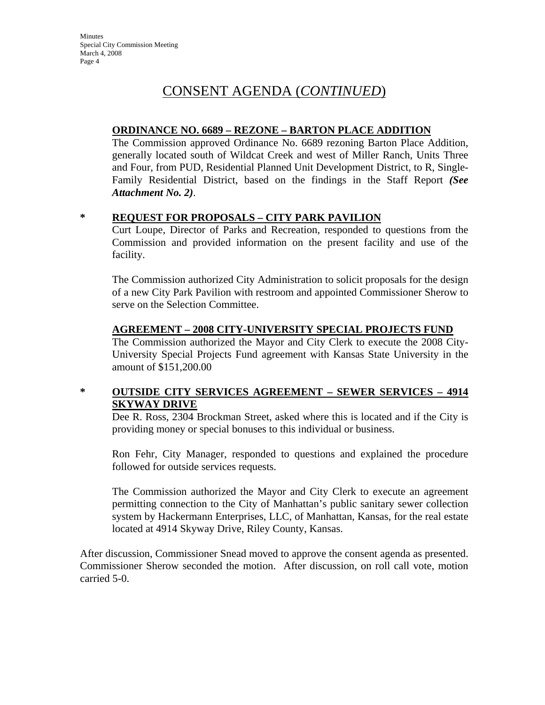**Minutes** Special City Commission Meeting March 4, 2008 Page 4

# CONSENT AGENDA (*CONTINUED*)

### **ORDINANCE NO. 6689 – REZONE – BARTON PLACE ADDITION**

The Commission approved Ordinance No. 6689 rezoning Barton Place Addition, generally located south of Wildcat Creek and west of Miller Ranch, Units Three and Four, from PUD, Residential Planned Unit Development District, to R, Single-Family Residential District, based on the findings in the Staff Report *(See Attachment No. 2)*.

### **\* REQUEST FOR PROPOSALS – CITY PARK PAVILION**

Curt Loupe, Director of Parks and Recreation, responded to questions from the Commission and provided information on the present facility and use of the facility.

The Commission authorized City Administration to solicit proposals for the design of a new City Park Pavilion with restroom and appointed Commissioner Sherow to serve on the Selection Committee.

### **AGREEMENT – 2008 CITY-UNIVERSITY SPECIAL PROJECTS FUND**

The Commission authorized the Mayor and City Clerk to execute the 2008 City-University Special Projects Fund agreement with Kansas State University in the amount of \$151,200.00

## **\* OUTSIDE CITY SERVICES AGREEMENT – SEWER SERVICES – 4914 SKYWAY DRIVE**

Dee R. Ross, 2304 Brockman Street, asked where this is located and if the City is providing money or special bonuses to this individual or business.

Ron Fehr, City Manager, responded to questions and explained the procedure followed for outside services requests.

The Commission authorized the Mayor and City Clerk to execute an agreement permitting connection to the City of Manhattan's public sanitary sewer collection system by Hackermann Enterprises, LLC, of Manhattan, Kansas, for the real estate located at 4914 Skyway Drive, Riley County, Kansas.

After discussion, Commissioner Snead moved to approve the consent agenda as presented. Commissioner Sherow seconded the motion. After discussion, on roll call vote, motion carried 5-0.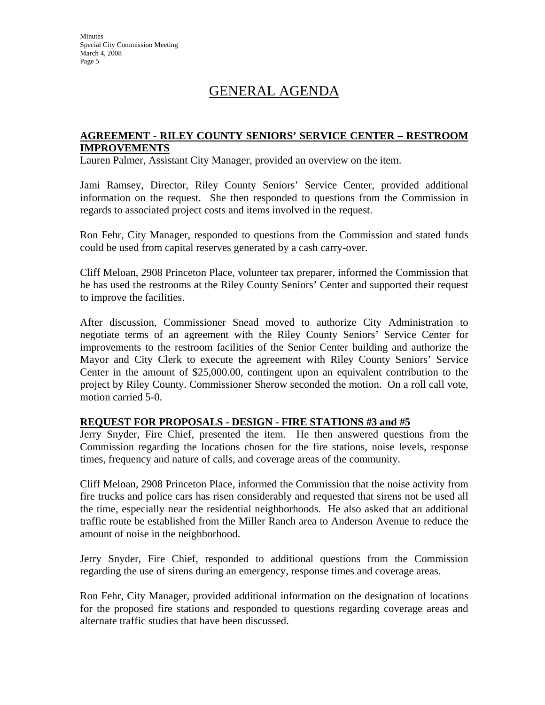# GENERAL AGENDA

### **AGREEMENT - RILEY COUNTY SENIORS' SERVICE CENTER – RESTROOM IMPROVEMENTS**

Lauren Palmer, Assistant City Manager, provided an overview on the item.

Jami Ramsey, Director, Riley County Seniors' Service Center, provided additional information on the request. She then responded to questions from the Commission in regards to associated project costs and items involved in the request.

Ron Fehr, City Manager, responded to questions from the Commission and stated funds could be used from capital reserves generated by a cash carry-over.

Cliff Meloan, 2908 Princeton Place, volunteer tax preparer, informed the Commission that he has used the restrooms at the Riley County Seniors' Center and supported their request to improve the facilities.

After discussion, Commissioner Snead moved to authorize City Administration to negotiate terms of an agreement with the Riley County Seniors' Service Center for improvements to the restroom facilities of the Senior Center building and authorize the Mayor and City Clerk to execute the agreement with Riley County Seniors' Service Center in the amount of \$25,000.00, contingent upon an equivalent contribution to the project by Riley County. Commissioner Sherow seconded the motion. On a roll call vote, motion carried 5-0.

### **REQUEST FOR PROPOSALS - DESIGN - FIRE STATIONS #3 and #5**

Jerry Snyder, Fire Chief, presented the item. He then answered questions from the Commission regarding the locations chosen for the fire stations, noise levels, response times, frequency and nature of calls, and coverage areas of the community.

Cliff Meloan, 2908 Princeton Place, informed the Commission that the noise activity from fire trucks and police cars has risen considerably and requested that sirens not be used all the time, especially near the residential neighborhoods. He also asked that an additional traffic route be established from the Miller Ranch area to Anderson Avenue to reduce the amount of noise in the neighborhood.

Jerry Snyder, Fire Chief, responded to additional questions from the Commission regarding the use of sirens during an emergency, response times and coverage areas.

Ron Fehr, City Manager, provided additional information on the designation of locations for the proposed fire stations and responded to questions regarding coverage areas and alternate traffic studies that have been discussed.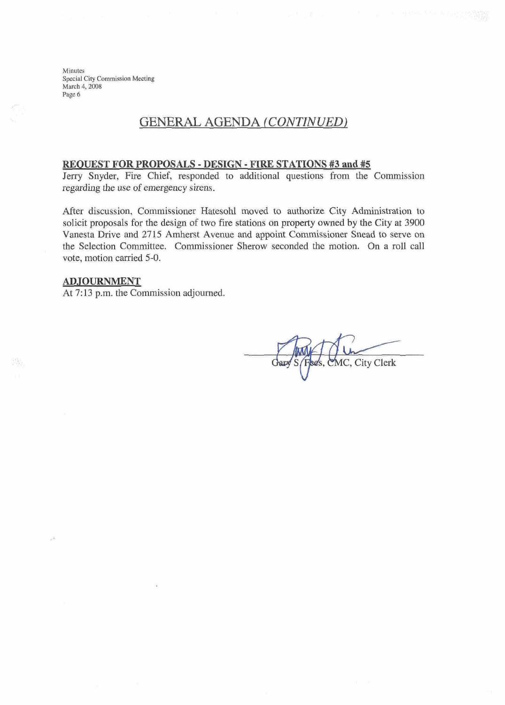**Minutes Special City Commission Meeting** March 4, 2008 Page 6

## **GENERAL AGENDA** *(CONTINUED)*

### **REOIBST FOR PROPOSALS** - **DESLGN** - BTRE **STATIONS #3 and** #5

Jerry Snyder, Fire Chief, responded to additional questions from the Commission  $r$  **egarding** the use of emergency sirens.

After discussion, Commissioner Hatesohl moved to authorize City Administration to solicit proposals for the design of two fire stations on property owned by the City at 3900 Vanesta Drive and 2715 Amherst Avenue and appoint Commissioner Snead to serve on the Selection Committee. Commissioner Sherow seconded the motion. On a roll call vote, motion carried 5-0.

#### **ADJOURNMENT**

At 7:13 p.m. the Commission adjourned.

MC, City Clerk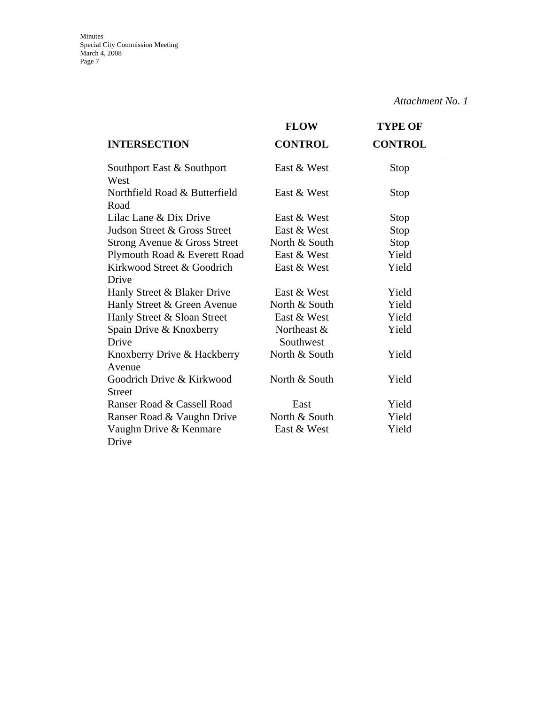|                               | <b>FLOW</b>    | <b>TYPE OF</b> |
|-------------------------------|----------------|----------------|
| <b>INTERSECTION</b>           | <b>CONTROL</b> | <b>CONTROL</b> |
| Southport East & Southport    | East & West    | Stop           |
| West                          |                |                |
| Northfield Road & Butterfield | East & West    | Stop           |
| Road                          |                |                |
| Lilac Lane & Dix Drive        | East & West    | Stop           |
| Judson Street & Gross Street  | East & West    | Stop           |
| Strong Avenue & Gross Street  | North & South  | Stop           |
| Plymouth Road & Everett Road  | East & West    | Yield          |
| Kirkwood Street & Goodrich    | East & West    | Yield          |
| Drive                         |                |                |
| Hanly Street & Blaker Drive   | East & West    | Yield          |
| Hanly Street & Green Avenue   | North & South  | Yield          |
| Hanly Street & Sloan Street   | East & West    | Yield          |
| Spain Drive & Knoxberry       | Northeast &    | Yield          |
| Drive                         | Southwest      |                |
| Knoxberry Drive & Hackberry   | North & South  | Yield          |
| Avenue                        |                |                |
| Goodrich Drive & Kirkwood     | North & South  | Yield          |
| <b>Street</b>                 |                |                |
| Ranser Road & Cassell Road    | East           | Yield          |
| Ranser Road & Vaughn Drive    | North & South  | Yield          |
| Vaughn Drive & Kenmare        | East & West    | Yield          |
| Drive                         |                |                |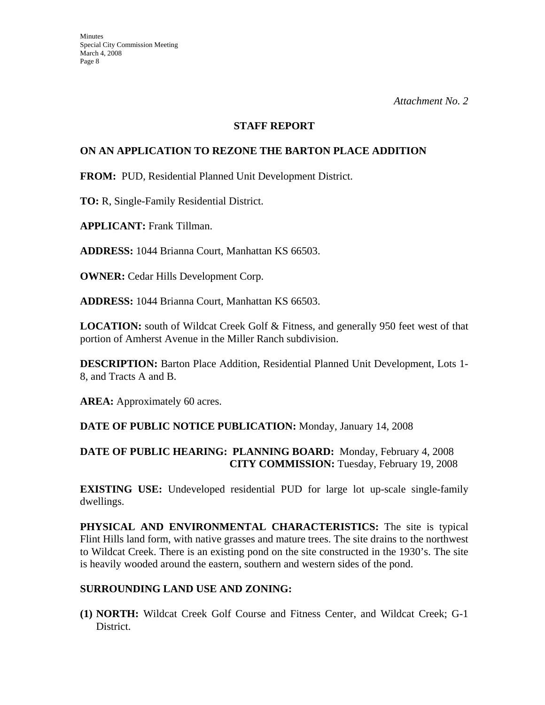### **STAFF REPORT**

### **ON AN APPLICATION TO REZONE THE BARTON PLACE ADDITION**

**FROM:** PUD, Residential Planned Unit Development District.

**TO:** R, Single-Family Residential District.

**APPLICANT:** Frank Tillman.

**ADDRESS:** 1044 Brianna Court, Manhattan KS 66503.

**OWNER: Cedar Hills Development Corp.** 

**ADDRESS:** 1044 Brianna Court, Manhattan KS 66503.

**LOCATION:** south of Wildcat Creek Golf & Fitness, and generally 950 feet west of that portion of Amherst Avenue in the Miller Ranch subdivision.

**DESCRIPTION:** Barton Place Addition, Residential Planned Unit Development, Lots 1- 8, and Tracts A and B.

AREA: Approximately 60 acres.

### **DATE OF PUBLIC NOTICE PUBLICATION:** Monday, January 14, 2008

### **DATE OF PUBLIC HEARING: PLANNING BOARD:** Monday, February 4, 2008 **CITY COMMISSION:** Tuesday, February 19, 2008

**EXISTING USE:** Undeveloped residential PUD for large lot up-scale single-family dwellings.

**PHYSICAL AND ENVIRONMENTAL CHARACTERISTICS:** The site is typical Flint Hills land form, with native grasses and mature trees. The site drains to the northwest to Wildcat Creek. There is an existing pond on the site constructed in the 1930's. The site is heavily wooded around the eastern, southern and western sides of the pond.

### **SURROUNDING LAND USE AND ZONING:**

**(1) NORTH:** Wildcat Creek Golf Course and Fitness Center, and Wildcat Creek; G-1 District.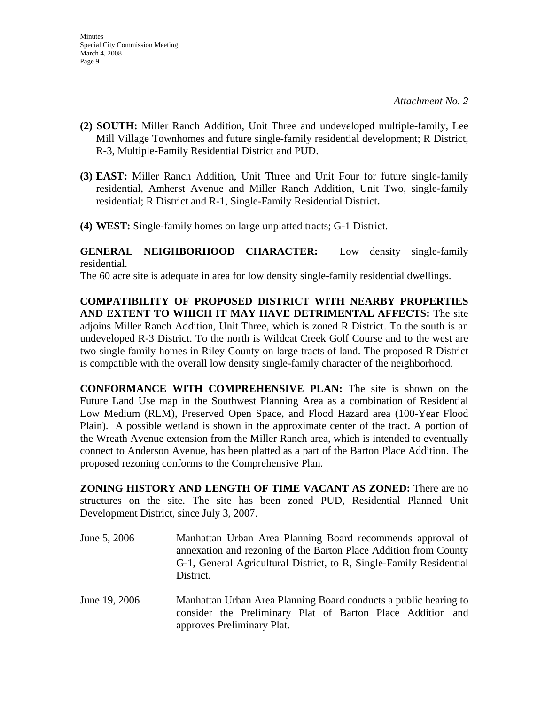- **(2) SOUTH:** Miller Ranch Addition, Unit Three and undeveloped multiple-family, Lee Mill Village Townhomes and future single-family residential development; R District, R-3, Multiple-Family Residential District and PUD.
- **(3) EAST:** Miller Ranch Addition, Unit Three and Unit Four for future single-family residential, Amherst Avenue and Miller Ranch Addition, Unit Two, single-family residential; R District and R-1, Single-Family Residential District**.**
- **(4) WEST:** Single-family homes on large unplatted tracts; G-1 District.

**GENERAL NEIGHBORHOOD CHARACTER:** Low density single-family residential.

The 60 acre site is adequate in area for low density single-family residential dwellings.

**COMPATIBILITY OF PROPOSED DISTRICT WITH NEARBY PROPERTIES AND EXTENT TO WHICH IT MAY HAVE DETRIMENTAL AFFECTS:** The site adjoins Miller Ranch Addition, Unit Three, which is zoned R District. To the south is an undeveloped R-3 District. To the north is Wildcat Creek Golf Course and to the west are two single family homes in Riley County on large tracts of land. The proposed R District is compatible with the overall low density single-family character of the neighborhood.

**CONFORMANCE WITH COMPREHENSIVE PLAN:** The site is shown on the Future Land Use map in the Southwest Planning Area as a combination of Residential Low Medium (RLM), Preserved Open Space, and Flood Hazard area (100-Year Flood Plain). A possible wetland is shown in the approximate center of the tract. A portion of the Wreath Avenue extension from the Miller Ranch area, which is intended to eventually connect to Anderson Avenue, has been platted as a part of the Barton Place Addition. The proposed rezoning conforms to the Comprehensive Plan.

**ZONING HISTORY AND LENGTH OF TIME VACANT AS ZONED:** There are no structures on the site. The site has been zoned PUD, Residential Planned Unit Development District, since July 3, 2007.

- June 5, 2006 Manhattan Urban Area Planning Board recommends approval of annexation and rezoning of the Barton Place Addition from County G-1, General Agricultural District, to R, Single-Family Residential District.
- June 19, 2006 Manhattan Urban Area Planning Board conducts a public hearing to consider the Preliminary Plat of Barton Place Addition and approves Preliminary Plat.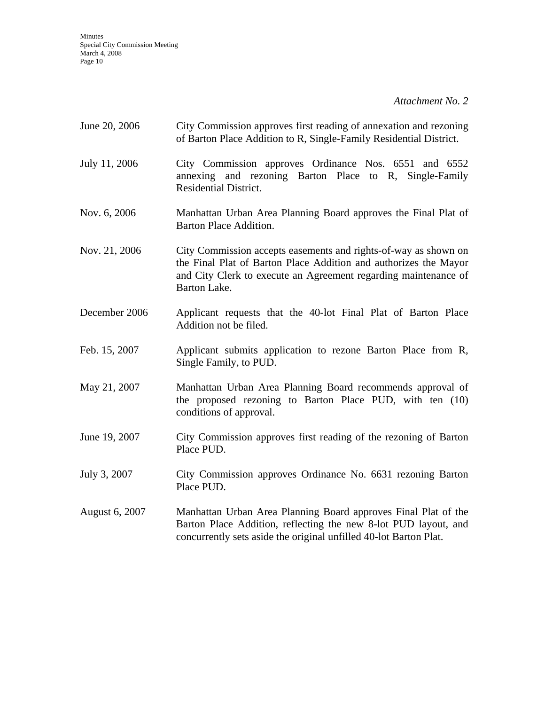Minutes Special City Commission Meeting March 4, 2008 Page 10

*Attachment No. 2* 

| June 20, 2006  | City Commission approves first reading of annexation and rezoning<br>of Barton Place Addition to R, Single-Family Residential District.                                                                                |
|----------------|------------------------------------------------------------------------------------------------------------------------------------------------------------------------------------------------------------------------|
| July 11, 2006  | City Commission approves Ordinance Nos. 6551 and 6552<br>annexing and rezoning Barton Place to R, Single-Family<br><b>Residential District.</b>                                                                        |
| Nov. 6, 2006   | Manhattan Urban Area Planning Board approves the Final Plat of<br><b>Barton Place Addition.</b>                                                                                                                        |
| Nov. 21, 2006  | City Commission accepts easements and rights-of-way as shown on<br>the Final Plat of Barton Place Addition and authorizes the Mayor<br>and City Clerk to execute an Agreement regarding maintenance of<br>Barton Lake. |
| December 2006  | Applicant requests that the 40-lot Final Plat of Barton Place<br>Addition not be filed.                                                                                                                                |
| Feb. 15, 2007  | Applicant submits application to rezone Barton Place from R,<br>Single Family, to PUD.                                                                                                                                 |
| May 21, 2007   | Manhattan Urban Area Planning Board recommends approval of<br>the proposed rezoning to Barton Place PUD, with ten (10)<br>conditions of approval.                                                                      |
| June 19, 2007  | City Commission approves first reading of the rezoning of Barton<br>Place PUD.                                                                                                                                         |
| July 3, 2007   | City Commission approves Ordinance No. 6631 rezoning Barton<br>Place PUD.                                                                                                                                              |
| August 6, 2007 | Manhattan Urban Area Planning Board approves Final Plat of the<br>Barton Place Addition, reflecting the new 8-lot PUD layout, and<br>concurrently sets aside the original unfilled 40-lot Barton Plat.                 |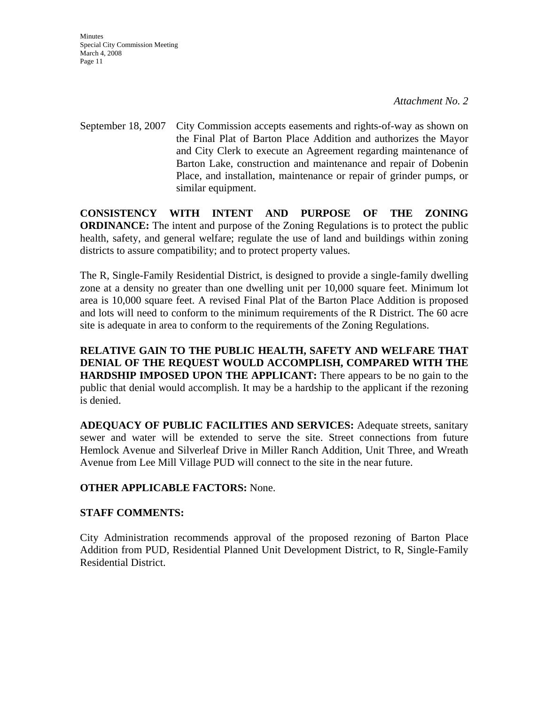September 18, 2007 City Commission accepts easements and rights-of-way as shown on the Final Plat of Barton Place Addition and authorizes the Mayor and City Clerk to execute an Agreement regarding maintenance of Barton Lake, construction and maintenance and repair of Dobenin Place, and installation, maintenance or repair of grinder pumps, or similar equipment.

**CONSISTENCY WITH INTENT AND PURPOSE OF THE ZONING ORDINANCE:** The intent and purpose of the Zoning Regulations is to protect the public health, safety, and general welfare; regulate the use of land and buildings within zoning districts to assure compatibility; and to protect property values.

The R, Single-Family Residential District, is designed to provide a single-family dwelling zone at a density no greater than one dwelling unit per 10,000 square feet. Minimum lot area is 10,000 square feet. A revised Final Plat of the Barton Place Addition is proposed and lots will need to conform to the minimum requirements of the R District. The 60 acre site is adequate in area to conform to the requirements of the Zoning Regulations.

**RELATIVE GAIN TO THE PUBLIC HEALTH, SAFETY AND WELFARE THAT DENIAL OF THE REQUEST WOULD ACCOMPLISH, COMPARED WITH THE HARDSHIP IMPOSED UPON THE APPLICANT:** There appears to be no gain to the public that denial would accomplish. It may be a hardship to the applicant if the rezoning is denied.

**ADEQUACY OF PUBLIC FACILITIES AND SERVICES:** Adequate streets, sanitary sewer and water will be extended to serve the site. Street connections from future Hemlock Avenue and Silverleaf Drive in Miller Ranch Addition, Unit Three, and Wreath Avenue from Lee Mill Village PUD will connect to the site in the near future.

### **OTHER APPLICABLE FACTORS:** None.

### **STAFF COMMENTS:**

City Administration recommends approval of the proposed rezoning of Barton Place Addition from PUD, Residential Planned Unit Development District, to R, Single-Family Residential District.